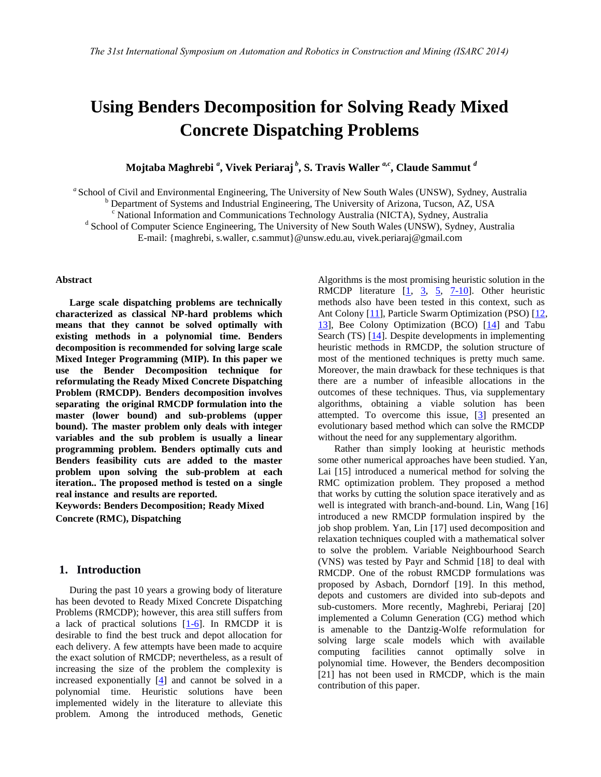# **Using Benders Decomposition for Solving Ready Mixed Concrete Dispatching Problems**

 $\bold{Mojtaba\ Map}$ hrebi  ${}^{a}$ , Vivek Periaraj  ${}^{b}$ , S. Travis Waller  ${}^{a,c}$ , Claude Sammut  ${}^{d}$ 

<sup>a</sup> School of Civil and Environmental Engineering, The University of New South Wales (UNSW), Sydney, Australia

<sup>b</sup> Department of Systems and Industrial Engineering, The University of Arizona, Tucson, AZ, USA

<sup>c</sup> National Information and Communications Technology Australia (NICTA), Sydney, Australia

<sup>d</sup> School of Computer Science Engineering, The University of New South Wales (UNSW), Sydney, Australia

E-mail: {maghrebi, s.waller, c.sammut}@unsw.edu.au, vivek.periaraj@gmail.com

#### **Abstract**

**Large scale dispatching problems are technically characterized as classical NP-hard problems which means that they cannot be solved optimally with existing methods in a polynomial time. Benders decomposition is recommended for solving large scale Mixed Integer Programming (MIP). In this paper we use the Bender Decomposition technique for reformulating the Ready Mixed Concrete Dispatching Problem (RMCDP). Benders decomposition involves separating the original RMCDP formulation into the master (lower bound) and sub-problems (upper bound). The master problem only deals with integer variables and the sub problem is usually a linear programming problem. Benders optimally cuts and Benders feasibility cuts are added to the master problem upon solving the sub-problem at each iteration.. The proposed method is tested on a single real instance and results are reported.** 

**Keywords: Benders Decomposition; Ready Mixed Concrete (RMC), Dispatching** 

#### **1. Introduction**

During the past 10 years a growing body of literature has been devoted to Ready Mixed Concrete Dispatching Problems (RMCDP); however, this area still suffers from a lack of practical solutions [\[1-6\]](#page-7-0). In RMCDP it is desirable to find the best truck and depot allocation for each delivery. A few attempts have been made to acquire the exact solution of RMCDP; nevertheless, as a result of increasing the size of the problem the complexity is increased exponentially  $[4]$  and cannot be solved in a polynomial time. Heuristic solutions have been implemented widely in the literature to alleviate this problem. Among the introduced methods, Genetic Algorithms is the most promising heuristic solution in the RMCDP literature  $[\underline{1}, \underline{3}, \underline{5}, \underline{7-10}]$ . Other heuristic methods also have been tested in this context, such as Ant Colony [\[11\]](#page-7-4), Particle Swarm Optimization (PSO) [\[12,](#page-7-5) [13\]](#page-7-6), Bee Colony Optimization (BCO) [\[14\]](#page-7-7) and Tabu Search (TS) [\[14\]](#page-7-7). Despite developments in implementing heuristic methods in RMCDP, the solution structure of most of the mentioned techniques is pretty much same. Moreover, the main drawback for these techniques is that there are a number of infeasible allocations in the outcomes of these techniques. Thus, via supplementary algorithms, obtaining a viable solution has been attempted. To overcome this issue,  $\begin{bmatrix} 3 \end{bmatrix}$  presented an evolutionary based method which can solve the RMCDP without the need for any supplementary algorithm.

 Rather than simply looking at heuristic methods some other numerical approaches have been studied. [Yan,](#page-7-8)  [Lai \[15\]](#page-7-8) introduced a numerical method for solving the RMC optimization problem. They proposed a method that works by cutting the solution space iteratively and as well is integrated with branch-and-bound. [Lin, Wang \[16\]](#page-8-0) introduced a new RMCDP formulation inspired by the job shop problem. [Yan, Lin \[17\]](#page-8-1) used decomposition and relaxation techniques coupled with a mathematical solver to solve the problem. Variable Neighbourhood Search (VNS) was tested by [Payr and Schmid \[18\]](#page-8-2) to deal with RMCDP. One of the robust RMCDP formulations was proposed by [Asbach, Dorndorf \[19\].](#page-8-3) In this method, depots and customers are divided into sub-depots and sub-customers. More recently, [Maghrebi, Periaraj \[20\]](#page-8-4) implemented a Column Generation (CG) method which is amenable to the Dantzig-Wolfe reformulation for solving large scale models which with available computing facilities cannot optimally solve in polynomial time. However, the Benders decomposition [\[21\]](#page-8-5) has not been used in RMCDP, which is the main contribution of this paper.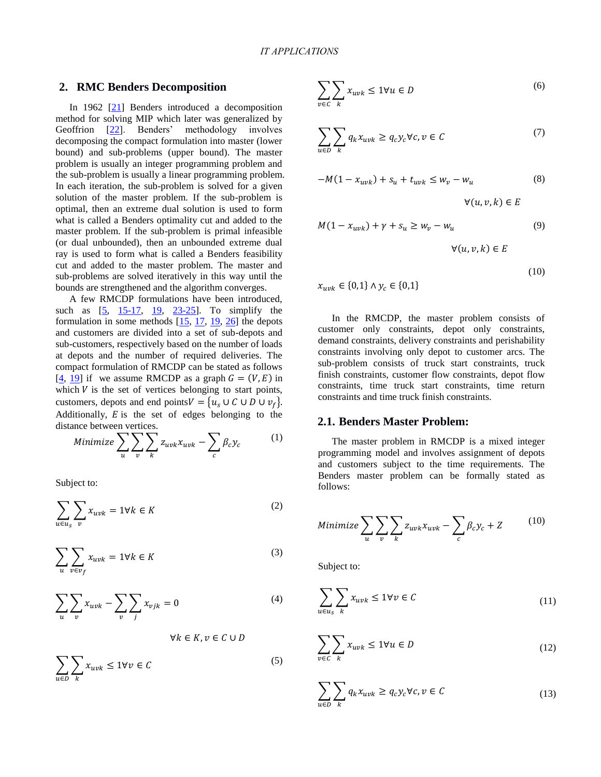#### **2. RMC [Ben](#page-8-5)ders Decomposition**

In 1962 [\[21\]](#page-8-6) Benders introduced a decomposition method for solving MIP which later was generalized by Geoffrion [22]. Benders' methodology involves decomposing the compact formulation into master (lower bound) and sub-problems (upper bound). The master problem is usually an integer programming problem and the sub-problem is usually a linear programming problem. In each iteration, the sub-problem is solved for a given solution of the master problem. If the sub-problem is optimal, then an extreme dual solution is used to form what is called a Benders optimality cut and added to the master problem. If the sub-problem is primal infeasible (or dual unbounded), then an unbounded extreme dual ray is used to form what is called a Benders feasibility cut and added to the master problem. The master and sub-problems are solved iteratively in this way until the bounds are [str](#page-7-1)e[ngthene](#page-7-8)[d and](#page-8-3) [the algo](#page-8-7)rithm converges.

A few RMCDP formulati[ons](#page-7-8) [hav](#page-8-1)[e be](#page-8-3)[en](#page-8-8) introduced, such as  $[5, 15-17, 19, 23-25]$ . To simplify the formulation in some methods  $[15, 17, 19, 26]$  the depots and customers are divided into a set of sub-depots and sub-customers, respectively based on the number of loads [at](#page-7-1) [dep](#page-8-3)ots and the number of required deliveries. The compact formulation of RMCDP can be stated as follows [4, 19] if we assume RMCDP as a graph  $G = (V, E)$  in which  $V$  is the set of vertices belonging to start points, customers, depots and end points  $V = \{u_s \cup C \cup D \cup v_f\}.$ Additionally,  $E$  is the set of edges belonging to the distance between vertices.

Minimize 
$$
\sum_{u} \sum_{v} \sum_{k} z_{uvk} x_{uvk} - \sum_{c} \beta_c y_c
$$
 (1)

Subject to:

$$
\sum_{u \in u_s} \sum_v x_{uvk} = 1 \forall k \in K \tag{2}
$$

$$
\sum_{u} \sum_{v \in v_f} x_{uvk} = 1 \forall k \in K \tag{3}
$$

$$
\sum_{u} \sum_{v} x_{uvk} - \sum_{v} \sum_{j} x_{vjk} = 0
$$
\n(4)

$$
\forall k \in K, v \in C \cup D
$$

$$
\sum_{u \in D} \sum_{k} x_{uvk} \le 1 \forall v \in C \tag{5}
$$

$$
\sum_{v \in C} \sum_{k} x_{uvk} \le 1 \forall u \in D \tag{6}
$$

$$
\sum_{u \in D} \sum_{k} q_k x_{uvk} \ge q_c y_c \forall c, v \in C \tag{7}
$$

$$
-M(1 - x_{uvk}) + s_u + t_{uvk} \le w_v - w_u \tag{8}
$$

$$
\forall (u,v,k) \in E
$$

$$
M(1 - x_{uvk}) + \gamma + s_u \ge w_v - w_u \tag{9}
$$

 $\forall (u, v, k) \in E$ 

$$
(10)
$$

 $x_{uvk} \in \{0,1\} \wedge y_c \in \{0,1\}$ 

In the RMCDP, the master problem consists of customer only constraints, depot only constraints, demand constraints, delivery constraints and perishability constraints involving only depot to customer arcs. The sub-problem consists of truck start constraints, truck finish constraints, customer flow constraints, depot flow constraints, time truck start constraints, time return constraints and time truck finish constraints.

# **2.1. Benders Master Problem:**

The master problem in RMCDP is a mixed integer programming model and involves assignment of depots and customers subject to the time requirements. The Benders master problem can be formally stated as follows:

Minimize 
$$
\sum_{u} \sum_{v} \sum_{k} z_{uvk} x_{uvk} - \sum_{c} \beta_c y_c + Z
$$
 (10)

Subject to:

$$
\sum_{u \in u_s} \sum_k x_{uvk} \le 1 \forall v \in C \tag{11}
$$

$$
\sum_{v \in C} \sum_{k} x_{uvk} \le 1 \forall u \in D \tag{12}
$$

$$
\sum_{u \in D} \sum_{k} q_k x_{uvk} \ge q_c y_c \forall c, v \in C
$$
\n(13)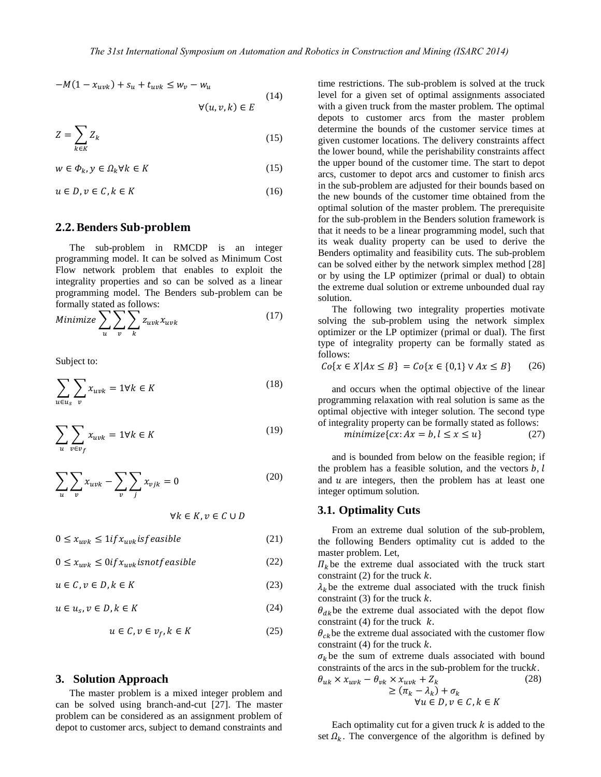$-M(1 - x_{uvk}) + s_u + t_{uvk} \leq w_v - w_u$  $\forall (u, v, k) \in E$ (14)

$$
Z = \sum_{k \in K} Z_k \tag{15}
$$

$$
w \in \Phi_k, y \in \Omega_k \forall k \in K \tag{15}
$$

$$
u \in D, v \in C, k \in K \tag{16}
$$

#### **2.2. Benders Sub-problem**

The sub-problem in RMCDP is an integer programming model. It can be solved as Minimum Cost Flow network problem that enables to exploit the integrality properties and so can be solved as a linear programming model. The Benders sub-problem can be formally stated as follows:

Minimize 
$$
\sum_{u} \sum_{v} \sum_{k} z_{uvk} x_{uvk}
$$
 (17)

Subject to:

$$
\sum_{u \in u_s} \sum_v x_{uvk} = 1 \forall k \in K \tag{18}
$$

$$
\sum_{u} \sum_{v \in v_f} x_{uvk} = 1 \forall k \in K \tag{19}
$$

$$
\sum_{u} \sum_{v} x_{uvk} - \sum_{v} \sum_{j} x_{vjk} = 0
$$
 (20)

$$
\forall k \in K, v \in C \cup D
$$

$$
0 \le x_{uvk} \le 1 \text{if } x_{uvk} \text{ is feasible} \tag{21}
$$

 $0 \le x_{uvk} \le 0$ if  $x_{uvk}$ isnot feasible (22)

 $u \in \mathcal{C}, v \in D, k \in K$  (23)

 $u \in u_s, v \in D, k \in K$  (24)

$$
u \in \mathcal{C}, v \in v_f, k \in K \tag{25}
$$

#### **3. Solution Approach**

The master problem is a mixed integer problem and can be solved using branch-and-cut [27]. The master problem can be considered as an assignment problem of depot to customer arcs, subject to demand constraints and

time restrictions. The sub-problem is solved at the truck level for a given set of optimal assignments associated with a given truck from the master problem. The optimal depots to customer arcs from the master problem determine the bounds of the customer service times at given customer locations. The delivery constraints affect the lower bound, while the perishability constraints affect the upper bound of the customer time. The start to depot arcs, customer to depot arcs and customer to finish arcs in the sub-problem are adjusted for their bounds based on the new bounds of the customer time obtained from the optimal solution of the master problem. The prerequisite for the sub-problem in the Benders solution framework is that it needs to be a linear programming model, such that its weak duality property can be used to derive [the](#page-8-9) Benders optimality and feasibility cuts. The sub-problem can be solved either by the network simplex method [28] or by using the LP optimizer (primal or dual) to obtain the extreme dual solution or extreme unbounded dual ray solution.

The following two integrality properties motivate solving the sub-problem using the network simplex optimizer or the LP optimizer (primal or dual). The first type of integrality property can be formally stated as follows:

 ${Co\{x \in X | Ax \leq B\}} = Co{x \in \{0,1\} \vee Ax \leq B\}$  (26)

and occurs when the optimal objective of the linear programming relaxation with real solution is same as the optimal objective with integer solution. The second type of integrality property can be formally stated as follows:

$$
minimize \{cx : Ax = b, l \le x \le u\} \tag{27}
$$

and is bounded from below on the feasible region; if the problem has a feasible solution, and the vectors  $b, l$ and  $u$  are integers, then the problem has at least one integer optimum solution.

## **3.1. Optimality Cuts**

From an extreme dual solution of the sub-problem, the following Benders optimality cut is added to the master problem. Let,

 $\Pi_k$  be the extreme dual associated with the truck start constraint  $(2)$  for the truck  $k$ .

 $\lambda_k$  be the extreme dual associated with the truck finish constraint (3) for the truck  $k$ .

 $\theta_{dk}$ be the extreme dual associated with the depot flow constraint (4) for the truck  $k$ .

 $\theta_{ck}$  be the extreme dual associated with the customer flow constraint (4) for the truck  $k$ .

 $\sigma_k$  be the sum of extreme duals associated with bound constraints of the arcs in the sub-problem for the truck $k$ .

$$
\theta_{uk} \times x_{uvk} - \theta_{vk} \times x_{uvk} + Z_k
$$
  
\n
$$
\geq (\pi_k - \lambda_k) + \sigma_k
$$
  
\n
$$
\forall u \in D, v \in C, k \in K
$$
\n(28)

Each optimality cut for a given truck  $k$  is added to the set  $\Omega_k$ . The convergence of the algorithm is defined by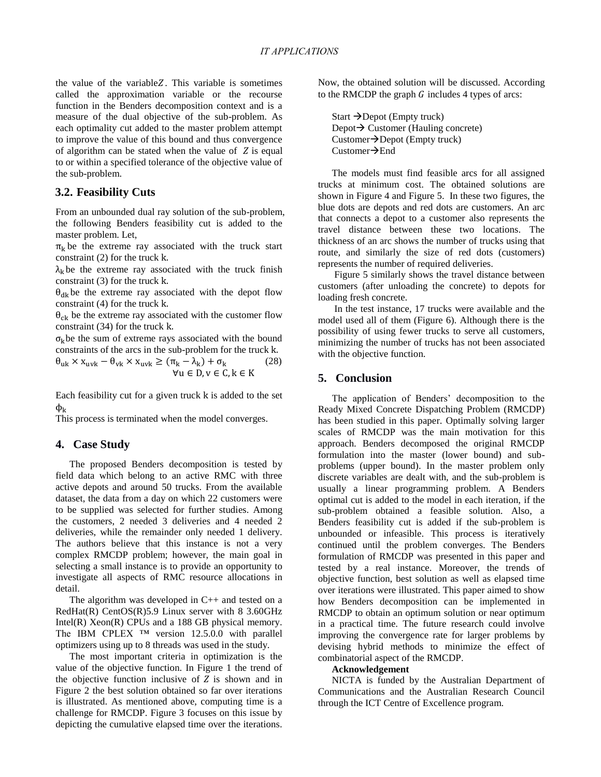the value of the variable  $Z$ . This variable is sometimes called the approximation variable or the recourse function in the Benders decomposition context and is a measure of the dual objective of the sub-problem. As each optimality cut added to the master problem attempt to improve the value of this bound and thus convergence of algorithm can be stated when the value of  $Z$  is equal to or within a specified tolerance of the objective value of the sub-problem.

## **3.2. Feasibility Cuts**

From an unbounded dual ray solution of the sub-problem, the following Benders feasibility cut is added to the master problem. Let,

 $\pi_k$  be the extreme ray associated with the truck start constraint (2) for the truck k.

 $\lambda_k$  be the extreme ray associated with the truck finish constraint  $(3)$  for the truck k.

 $\theta_{\rm dk}$  be the extreme ray associated with the depot flow constraint (4) for the truck k.

 $\theta_{ck}$  be the extreme ray associated with the customer flow constraint (34) for the truck k.

 $\sigma_k$ be the sum of extreme rays associated with the bound constraints of the arcs in the sub-problem for the truck

$$
\theta_{uk} \times x_{uvk} - \theta_{vk} \times x_{uvk} \ge (\pi_k - \lambda_k) + \sigma_k \tag{28}
$$
  
 
$$
\forall u \in D, v \in C, k \in K
$$

Each feasibility cut for a given truck  $k$  is added to the set  $\Phi_{\rm k}$ 

This process is terminated when the model converges.

#### **4. Case Study**

The proposed Benders decomposition is tested by field data which belong to an active RMC with three active depots and around 50 trucks. From the available dataset, the data from a day on which 22 customers were to be supplied was selected for further studies. Among the customers, 2 needed 3 deliveries and 4 needed 2 deliveries, while the remainder only needed 1 delivery. The authors believe that this instance is not a very complex RMCDP problem; however, the main goal in selecting a small instance is to provide an opportunity to investigate all aspects of RMC resource allocations in detail.

The algorithm was developed in  $C_{++}$  and tested on a RedHat(R) CentOS(R)5.9 Linux server with 8 3.60GHz Intel(R) Xeon(R) CPUs and a 188 GB physical memory. The IBM CPLEX ™ version 12.5.0.0 with parallel optimizers using up to 8 threads was used in the study.

The most important criteria in optimization is the value of the objective function. In Figure 1 the trend of the objective function inclusive of  $Z$  is shown and in Figure 2 the best solution obtained so far over iterations is illustrated. As mentioned above, computing time is a challenge for RMCDP. Figure 3 focuses on this issue by depicting the cumulative elapsed time over the iterations. Now, the obtained solution will be discussed. According to the RMCDP the graph  $G$  includes 4 types of arcs:

Start  $\rightarrow$  Depot (Empty truck) Depot  $\rightarrow$  Customer (Hauling concrete)  $Customer\rightarrow$ Depot (Empty truck) Customer $\rightarrow$ End

The models must find feasible arcs for all assigned trucks at minimum cost. The obtained solutions are shown in Figure 4 and Figure 5. In these two figures, the blue dots are depots and red dots are customers. An arc that connects a depot to a customer also represents the travel distance between these two locations. The thickness of an arc shows the number of trucks using that route, and similarly the size of red dots (customers) represents the number of required deliveries.

 Figure 5 similarly shows the travel distance between customers (after unloading the concrete) to depots for loading fresh concrete.

 In the test instance, 17 trucks were available and the model used all of them (Figure 6). Although there is the possibility of using fewer trucks to serve all customers, minimizing the number of trucks has not been associated with the objective function.

# **5. Conclusion**

The application of Benders' decomposition to the Ready Mixed Concrete Dispatching Problem (RMCDP) has been studied in this paper. Optimally solving larger scales of RMCDP was the main motivation for this approach. Benders decomposed the original RMCDP formulation into the master (lower bound) and subproblems (upper bound). In the master problem only discrete variables are dealt with, and the sub-problem is usually a linear programming problem. A Benders optimal cut is added to the model in each iteration, if the sub-problem obtained a feasible solution. Also, a Benders feasibility cut is added if the sub-problem is unbounded or infeasible. This process is iteratively continued until the problem converges. The Benders formulation of RMCDP was presented in this paper and tested by a real instance. Moreover, the trends of objective function, best solution as well as elapsed time over iterations were illustrated. This paper aimed to show how Benders decomposition can be implemented in RMCDP to obtain an optimum solution or near optimum in a practical time. The future research could involve improving the convergence rate for larger problems by devising hybrid methods to minimize the effect of combinatorial aspect of the RMCDP.

#### **Acknowledgement**

NICTA is funded by the Australian Department of Communications and the Australian Research Council through the ICT Centre of Excellence program.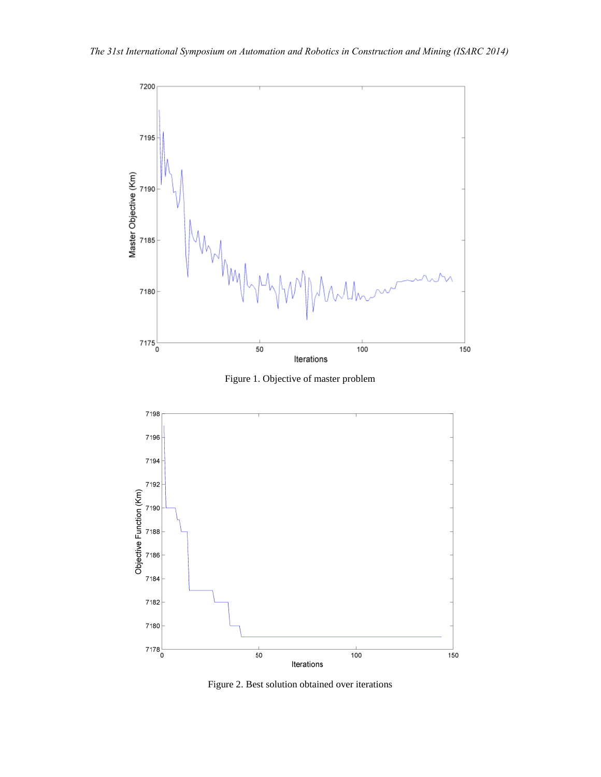

Figure 1. Objective of master problem



Figure 2. Best solution obtained over iterations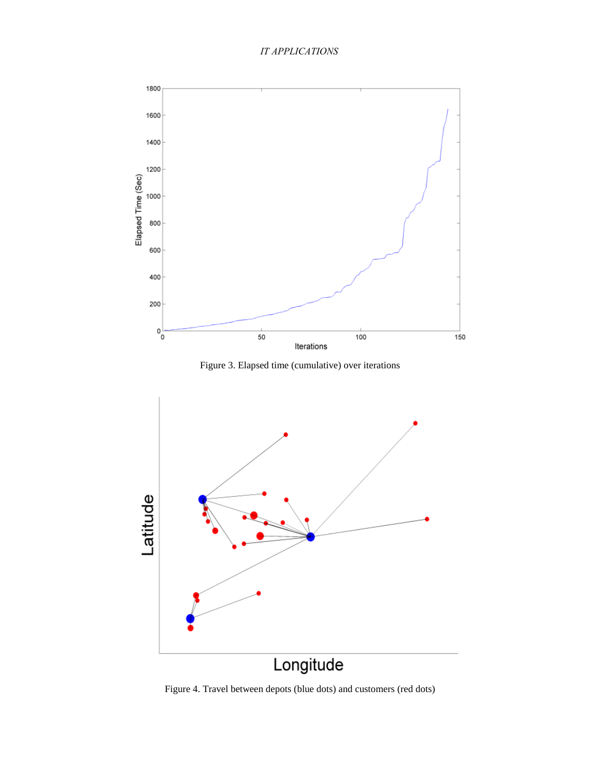





Figure 4. Travel between depots (blue dots) and customers (red dots)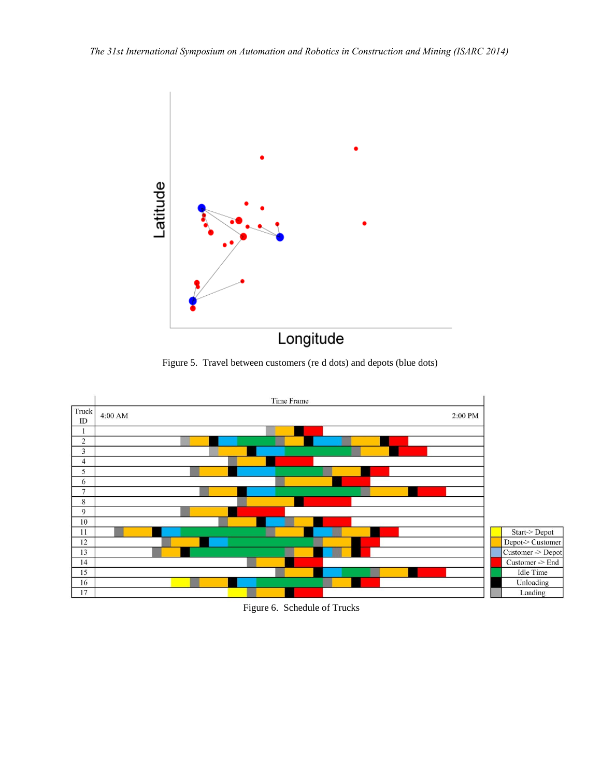

# Longitude

Figure 5. Travel between customers (re d dots) and depots (blue dots)



Figure 6. Schedule of Trucks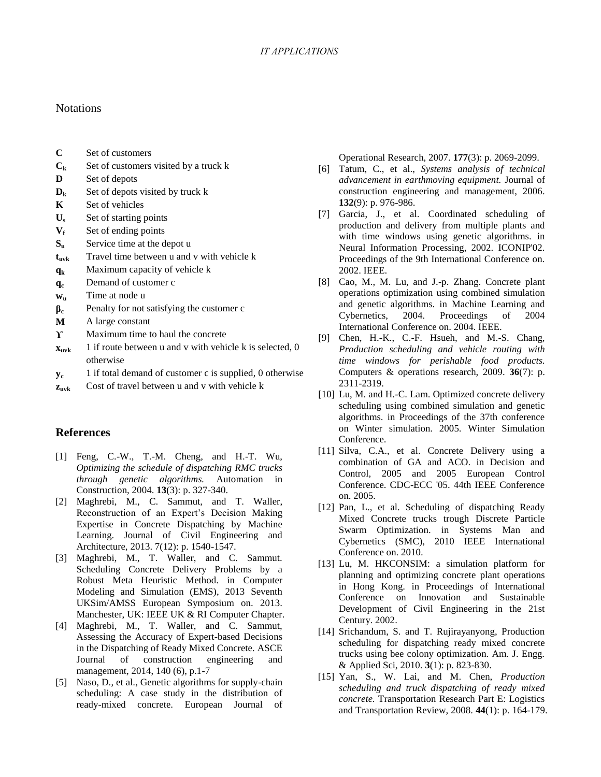# **Notations**

- **C** Set of customers
- $C_k$  Set of customers visited by a truck k
- **D** Set of depots
- $D_k$  Set of depots visited by truck k
- **K** Set of vehicles
- **U<sup>s</sup>** Set of starting points
- **V<sup>f</sup>** Set of ending points
- **S<sub>u</sub>** Service time at the depot u
- **t**<sub>uvk</sub> Travel time between u and v with vehicle k
- **q<sup>k</sup>** Maximum capacity of vehicle k
- **q<sup>c</sup>** Demand of customer c
- **w<sup>u</sup>** Time at node u
- **β<sup>c</sup>** Penalty for not satisfying the customer c
- **M** A large constant
- **Y** Maximum time to haul the concrete
- $\mathbf{x}_{\text{uvk}}$  1 if route between u and v with vehicle k is selected, 0 otherwise
- **y<sup>c</sup>** 1 if total demand of customer c is supplied, 0 otherwise
- **z**<sub>uvk</sub> Cost of travel between u and v with vehicle k

# **References**

- <span id="page-7-0"></span>[1] Feng, C.-W., T.-M. Cheng, and H.-T. Wu, *Optimizing the schedule of dispatching RMC trucks through genetic algorithms.* Automation in Construction, 2004. **13**(3): p. 327-340.
- [2] Maghrebi, M., C. Sammut, and T. Waller, Reconstruction of an Expert's Decision Making Expertise in Concrete Dispatching by Machine Learning. Journal of Civil Engineering and Architecture, 2013. 7(12): p. 1540-1547.
- <span id="page-7-2"></span>[3] Maghrebi, M., T. Waller, and C. Sammut. Scheduling Concrete Delivery Problems by a Robust Meta Heuristic Method. in Computer Modeling and Simulation (EMS), 2013 Seventh UKSim/AMSS European Symposium on. 2013. Manchester, UK: IEEE UK & RI Computer Chapter.
- <span id="page-7-1"></span>[4] Maghrebi, M., T. Waller, and C. Sammut, Assessing the Accuracy of Expert-based Decisions in the Dispatching of Ready Mixed Concrete. ASCE Journal of construction engineering and management, 2014, 140 (6), p.1-7
- [5] Naso, D., et al., Genetic algorithms for supply-chain scheduling: A case study in the distribution of ready-mixed concrete. European Journal of

Operational Research, 2007. **177**(3): p. 2069-2099.

- [6] Tatum, C., et al., *Systems analysis of technical advancement in earthmoving equipment.* Journal of construction engineering and management, 2006. **132**(9): p. 976-986.
- <span id="page-7-3"></span>[7] Garcia, J., et al. Coordinated scheduling of production and delivery from multiple plants and with time windows using genetic algorithms. in Neural Information Processing, 2002. ICONIP'02. Proceedings of the 9th International Conference on. 2002. IEEE.
- [8] Cao, M., M. Lu, and J.-p. Zhang. Concrete plant operations optimization using combined simulation and genetic algorithms. in Machine Learning and Cybernetics, 2004. Proceedings of 2004 International Conference on. 2004. IEEE.
- [9] Chen, H.-K., C.-F. Hsueh, and M.-S. Chang, *Production scheduling and vehicle routing with time windows for perishable food products.* Computers & operations research, 2009. **36**(7): p. 2311-2319.
- [10] Lu, M. and H.-C. Lam. Optimized concrete delivery scheduling using combined simulation and genetic algorithms. in Proceedings of the 37th conference on Winter simulation. 2005. Winter Simulation Conference.
- <span id="page-7-4"></span>[11] Silva, C.A., et al. Concrete Delivery using a combination of GA and ACO. in Decision and Control, 2005 and 2005 European Control Conference. CDC-ECC '05. 44th IEEE Conference on. 2005.
- <span id="page-7-5"></span>[12] Pan, L., et al. Scheduling of dispatching Ready Mixed Concrete trucks trough Discrete Particle Swarm Optimization. in Systems Man and Cybernetics (SMC), 2010 IEEE International Conference on. 2010.
- <span id="page-7-6"></span>[13] Lu, M. HKCONSIM: a simulation platform for planning and optimizing concrete plant operations in Hong Kong. in Proceedings of International Conference on Innovation and Sustainable Development of Civil Engineering in the 21st Century. 2002.
- <span id="page-7-7"></span>[14] Srichandum, S. and T. Rujirayanyong, Production scheduling for dispatching ready mixed concrete trucks using bee colony optimization. Am. J. Engg. & Applied Sci, 2010. **3**(1): p. 823-830.
- <span id="page-7-8"></span>[15] Yan, S., W. Lai, and M. Chen, *Production scheduling and truck dispatching of ready mixed concrete.* Transportation Research Part E: Logistics and Transportation Review, 2008. **44**(1): p. 164-179.